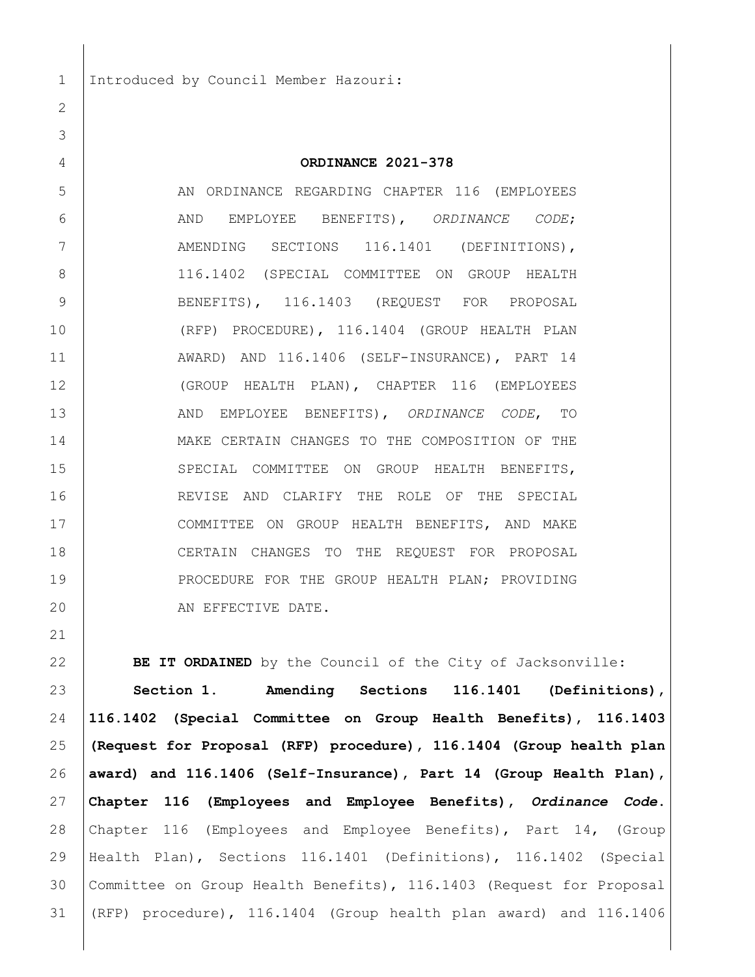Introduced by Council Member Hazouri:

 **ORDINANCE 2021-378** 5 AN ORDINANCE REGARDING CHAPTER 116 (EMPLOYEES AND EMPLOYEE BENEFITS), *ORDINANCE CODE*; 7 | AMENDING SECTIONS 116.1401 (DEFINITIONS), 8 | 116.1402 (SPECIAL COMMITTEE ON GROUP HEALTH 9 BENEFITS), 116.1403 (REQUEST FOR PROPOSAL (RFP) PROCEDURE), 116.1404 (GROUP HEALTH PLAN AWARD) AND 116.1406 (SELF-INSURANCE), PART 14 (GROUP HEALTH PLAN), CHAPTER 116 (EMPLOYEES AND EMPLOYEE BENEFITS), *ORDINANCE CODE*, TO MAKE CERTAIN CHANGES TO THE COMPOSITION OF THE 15 SPECIAL COMMITTEE ON GROUP HEALTH BENEFITS, REVISE AND CLARIFY THE ROLE OF THE SPECIAL COMMITTEE ON GROUP HEALTH BENEFITS, AND MAKE CERTAIN CHANGES TO THE REQUEST FOR PROPOSAL 19 PROCEDURE FOR THE GROUP HEALTH PLAN; PROVIDING 20 AN EFFECTIVE DATE.

**BE IT ORDAINED** by the Council of the City of Jacksonville:

 **Section 1. Amending Sections 116.1401 (Definitions), 116.1402 (Special Committee on Group Health Benefits), 116.1403 (Request for Proposal (RFP) procedure), 116.1404 (Group health plan award) and 116.1406 (Self-Insurance), Part 14 (Group Health Plan), Chapter 116 (Employees and Employee Benefits),** *Ordinance Code***.**  Chapter 116 (Employees and Employee Benefits), Part 14, (Group Health Plan), Sections 116.1401 (Definitions), 116.1402 (Special Committee on Group Health Benefits), 116.1403 (Request for Proposal (RFP) procedure), 116.1404 (Group health plan award) and 116.1406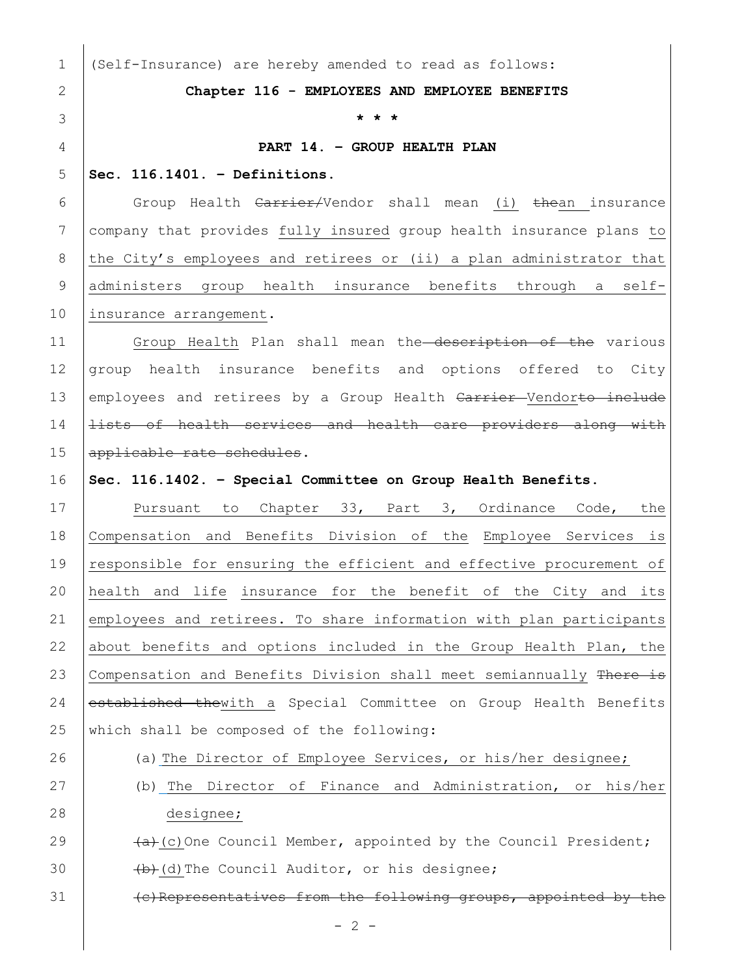$- 2 -$ 1 (Self-Insurance) are hereby amended to read as follows: 2 **Chapter 116 - EMPLOYEES AND EMPLOYEE BENEFITS** 3 **\* \* \*** 4 **PART 14. – GROUP HEALTH PLAN** 5 **Sec. 116.1401. – Definitions.**  6 Group Health Carrier/Vendor shall mean (i) thean insurance 7 company that provides fully insured group health insurance plans to 8 the City's employees and retirees or (ii) a plan administrator that 9 administers group health insurance benefits through a self-10 | insurance arrangement. 11 Group Health Plan shall mean the description of the various 12 group health insurance benefits and options offered to City 13 employees and retirees by a Group Health Carrier Vendorto include 14 **lists of health services and health care providers along with** 15 applicable rate schedules. 16 **Sec. 116.1402. – Special Committee on Group Health Benefits.** 17 Pursuant to Chapter 33, Part 3, Ordinance Code, the 18 Compensation and Benefits Division of the Employee Services is 19 responsible for ensuring the efficient and effective procurement of 20 health and life insurance for the benefit of the City and its 21 employees and retirees. To share information with plan participants 22 about benefits and options included in the Group Health Plan, the 23 Compensation and Benefits Division shall meet semiannually There is 24 established thewith a Special Committee on Group Health Benefits 25 which shall be composed of the following: 26 (a) The Director of Employee Services, or his/her designee; 27 (b) The Director of Finance and Administration, or his/her 28 designee; 29  $(a+(a)+(c))$  One Council Member, appointed by the Council President; 30  $\leftarrow$   $\leftarrow$   $\leftarrow$   $\leftarrow$   $\leftarrow$   $\leftarrow$   $\leftarrow$   $\leftarrow$   $\leftarrow$   $\leftarrow$   $\leftarrow$   $\leftarrow$   $\leftarrow$   $\leftarrow$   $\leftarrow$   $\leftarrow$   $\leftarrow$   $\leftarrow$   $\leftarrow$   $\leftarrow$   $\leftarrow$   $\leftarrow$   $\leftarrow$   $\leftarrow$   $\leftarrow$   $\leftarrow$   $\leftarrow$   $\leftarrow$   $\leftarrow$   $\leftarrow$   $\leftarrow$   $\leftarrow$   $\leftarrow$   $\leftarrow$   $\leftarrow$   $\leftarrow$   $\$ 31 (c)Representatives from the following groups, appointed by the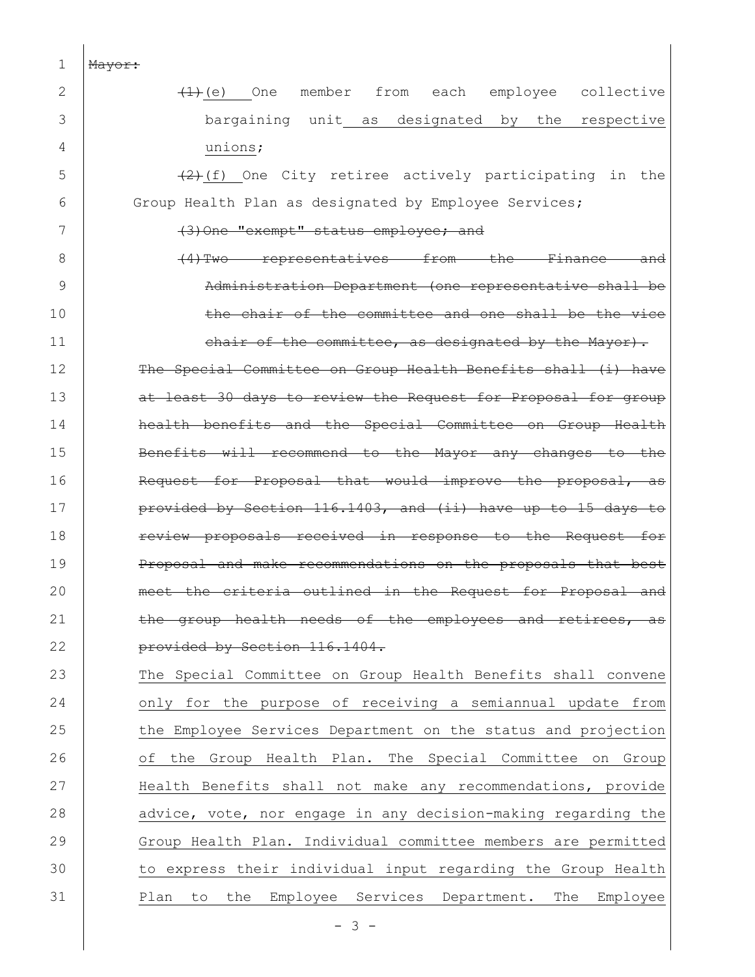| 1  | Mayor:                                                                           |  |  |  |  |  |  |  |  |  |
|----|----------------------------------------------------------------------------------|--|--|--|--|--|--|--|--|--|
| 2  | member from<br>each employee<br>collective<br>$\left(\frac{1}{2}\right)$ (e) One |  |  |  |  |  |  |  |  |  |
| 3  | bargaining unit as designated by the respective                                  |  |  |  |  |  |  |  |  |  |
| 4  | unions;                                                                          |  |  |  |  |  |  |  |  |  |
| 5  | $(2)$ (f) One City retiree actively participating in the                         |  |  |  |  |  |  |  |  |  |
| 6  | Group Health Plan as designated by Employee Services;                            |  |  |  |  |  |  |  |  |  |
| 7  | (3) One "exempt" status employee; and                                            |  |  |  |  |  |  |  |  |  |
| 8  | representatives from the<br>$(4)$ Two<br><del>Finance</del>                      |  |  |  |  |  |  |  |  |  |
| 9  | Administration Department (one representative shall be                           |  |  |  |  |  |  |  |  |  |
| 10 | of the committee and one shall be the vice<br><del>the chair</del>               |  |  |  |  |  |  |  |  |  |
| 11 | chair of the committee, as designated by the Mayor).                             |  |  |  |  |  |  |  |  |  |
| 12 | The Special Committee on Group Health Benefits shall (i) have                    |  |  |  |  |  |  |  |  |  |
| 13 | at least 30 days to review the Request for Proposal for group                    |  |  |  |  |  |  |  |  |  |
| 14 | health benefits and the Special Committee on Group Health                        |  |  |  |  |  |  |  |  |  |
| 15 | Benefits will recommend to the Mayor any changes to the                          |  |  |  |  |  |  |  |  |  |
| 16 | Request for Proposal that would improve the proposal, as                         |  |  |  |  |  |  |  |  |  |
| 17 | provided by Section 116.1403, and (ii) have up to 15 days to                     |  |  |  |  |  |  |  |  |  |
| 18 | proposals received in response to the Request<br>review-                         |  |  |  |  |  |  |  |  |  |
| 19 | and make recommendations on the proposals that<br><del>Proposal</del>            |  |  |  |  |  |  |  |  |  |
| 20 | criteria outlined in the Request for Proposal<br>the.<br><del>-and</del><br>meet |  |  |  |  |  |  |  |  |  |
| 21 | group health needs of the employees and retirees,<br>as                          |  |  |  |  |  |  |  |  |  |
| 22 | provided by Section 116.1404.                                                    |  |  |  |  |  |  |  |  |  |
| 23 | The Special Committee on Group Health Benefits shall convene                     |  |  |  |  |  |  |  |  |  |
| 24 | only for the purpose of receiving a semiannual update from                       |  |  |  |  |  |  |  |  |  |
| 25 | the Employee Services Department on the status and projection                    |  |  |  |  |  |  |  |  |  |
| 26 | the Group Health Plan. The Special Committee on Group<br>of                      |  |  |  |  |  |  |  |  |  |
| 27 | Health Benefits shall not make any recommendations, provide                      |  |  |  |  |  |  |  |  |  |
| 28 | advice, vote, nor engage in any decision-making regarding the                    |  |  |  |  |  |  |  |  |  |
| 29 | Group Health Plan. Individual committee members are permitted                    |  |  |  |  |  |  |  |  |  |
| 30 | to express their individual input regarding the Group Health                     |  |  |  |  |  |  |  |  |  |
| 31 | Employee<br>Services Department.<br>the<br>The Employee<br>Plan<br>to            |  |  |  |  |  |  |  |  |  |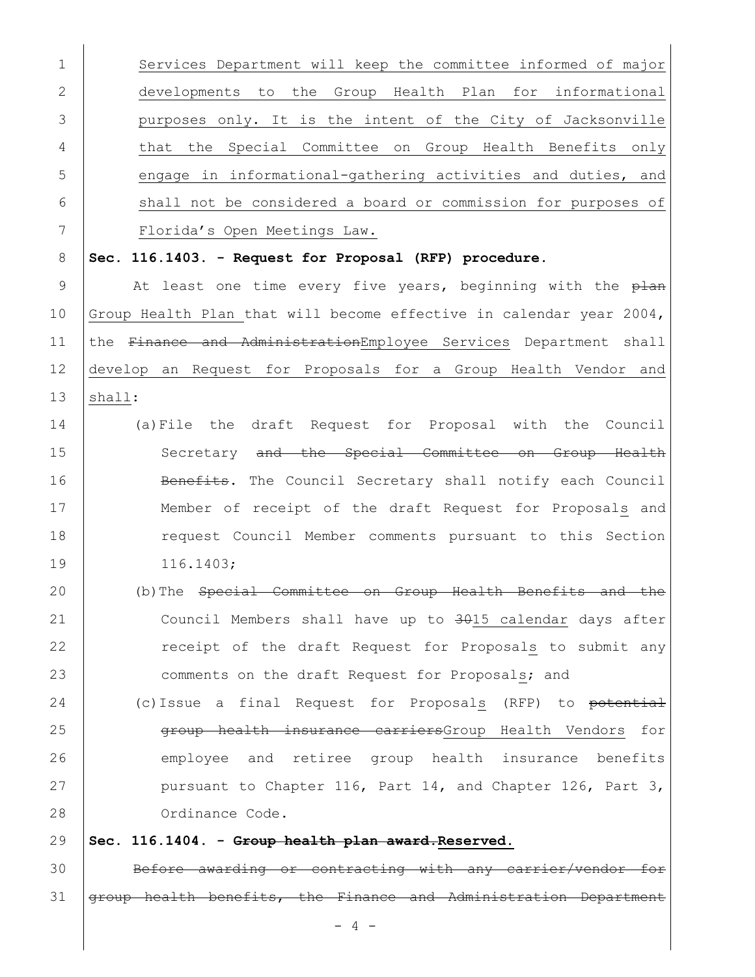| $\mathbf 1$  | Services Department will keep the committee informed of major       |
|--------------|---------------------------------------------------------------------|
| $\mathbf{2}$ | developments to the Group Health Plan for informational             |
| 3            | purposes only. It is the intent of the City of Jacksonville         |
| 4            | that the Special Committee on Group Health Benefits only            |
| 5            | engage in informational-gathering activities and duties, and        |
| 6            | shall not be considered a board or commission for purposes of       |
| 7            | Florida's Open Meetings Law.                                        |
| 8            | Sec. 116.1403. - Request for Proposal (RFP) procedure.              |
| 9            | At least one time every five years, beginning with the plan         |
| 10           | Group Health Plan that will become effective in calendar year 2004, |
| 11           | the Finance and AdministrationEmployee Services Department shall    |
| 12           | develop an Request for Proposals for a Group Health Vendor and      |
| 13           | shall:                                                              |
| 14           | (a) File the draft Request for Proposal with the Council            |
| 15           | Secretary and the Special Committee on Group Health                 |
| 16           | Benefits. The Council Secretary shall notify each Council           |
| 17           | Member of receipt of the draft Request for Proposals and            |
| 18           | request Council Member comments pursuant to this Section            |
| 19           | 116.1403;                                                           |
| 20           | (b) The Special Committee on Group Health Benefits and the          |
| 21           | Council Members shall have up to 3015 calendar days after           |
| 22           | receipt of the draft Request for Proposals to submit any            |
| 23           | comments on the draft Request for Proposals; and                    |
| 24           | (c) Issue a final Request for Proposals (RFP) to potential          |
| 25           | group health insurance carriersGroup Health Vendors for             |
| 26           | employee and retiree group health insurance benefits                |
| 27           | pursuant to Chapter 116, Part 14, and Chapter 126, Part 3,          |
| 28           | Ordinance Code.                                                     |
| 29           | Sec. 116.1404. - Group health plan award. Reserved.                 |
| 30           | Before awarding or contracting with any carrier/vendor for          |
| 31           | group health benefits, the Finance and Administration Department    |
|              | $-4-$                                                               |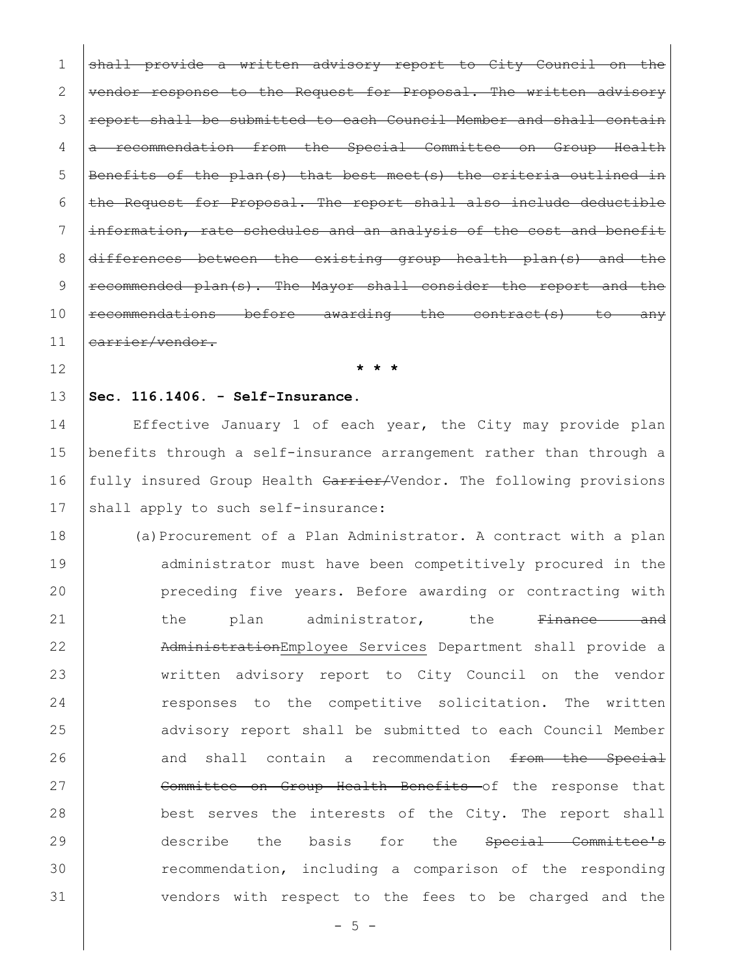1 shall provide a written advisory report to City Council  $2$  | vendor response to the Request for Proposal. The written 3 Feport shall be submitted to each Council Member and shall contain 4 a recommendation from the Special Committee on Group Health 5 | Benefits of the plan(s) that best meet(s) the criteria outlined in 6  $\vert$  the Request for Proposal. The report shall also include deductible 7 | information, rate schedules and an analysis of the cost and benefit  $8$   $\frac{differences}{dt}$  between the existing group health plan(s) 9 | recommended plan(s). The Mayor shall consider the report and the 10 recommendations before awarding the contract(s) to any 11 earrier/vendor.

12 **\* \* \***

## 13 **Sec. 116.1406. - Self-Insurance.**

14 Effective January 1 of each year, the City may provide plan 15 benefits through a self-insurance arrangement rather than through a 16 fully insured Group Health Carrier/Vendor. The following provisions 17 shall apply to such self-insurance:

18 (a)Procurement of a Plan Administrator. A contract with a plan 19 dadministrator must have been competitively procured in the 20 preceding five years. Before awarding or contracting with 21 the plan administrator, the <del>Finance and</del> 22 AdministrationEmployee Services Department shall provide a 23 written advisory report to City Council on the vendor 24 responses to the competitive solicitation. The written 25 advisory report shall be submitted to each Council Member  $26$  and shall contain a recommendation  $f$ rom the Special 27 Committee on Group Health Benefits of the response that 28 best serves the interests of the City. The report shall 29 describe the basis for the Special Committee's 30 recommendation, including a comparison of the responding 31 Vendors with respect to the fees to be charged and the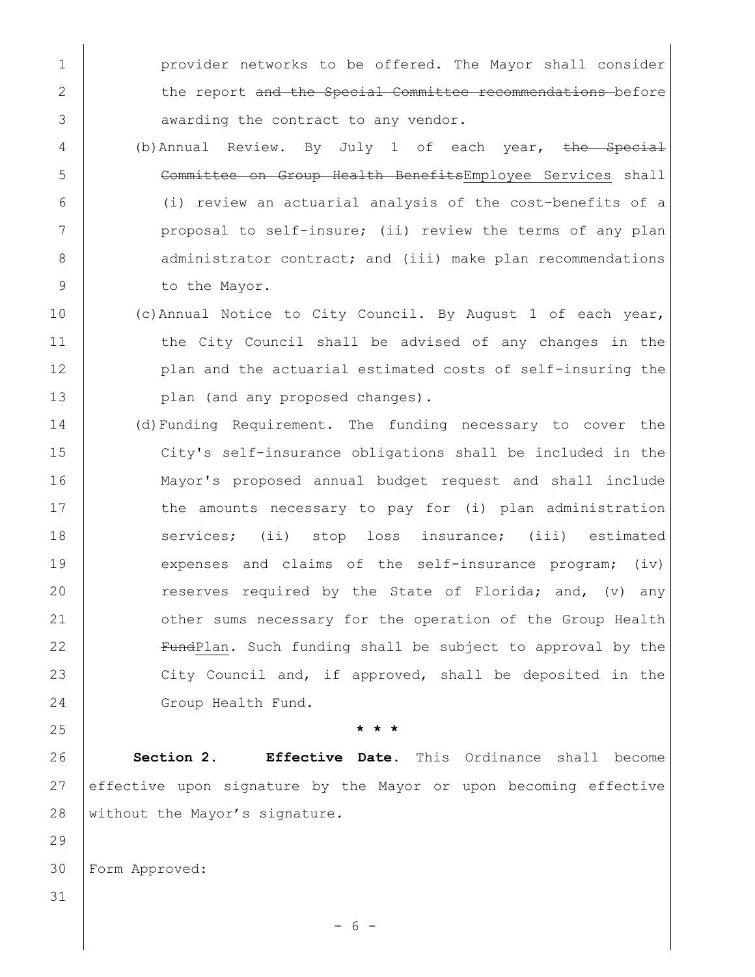1 **provider networks to be offered.** The Mayor shall consider 2 the report and the Special Committee recommendations before 3 **awarding the contract to any vendor.** 

- 4 (b)Annual Review. By July 1 of each year, the Special 5 | Committee on Group Health BenefitsEmployee Services shall 6 (i) review an actuarial analysis of the cost-benefits of a 7 | proposal to self-insure; (ii) review the terms of any plan 8 | administrator contract; and (iii) make plan recommendations 9 to the Mayor.
- 10 (c)Annual Notice to City Council. By August 1 of each year, 11 the City Council shall be advised of any changes in the 12 **plan and the actuarial estimated costs of self-insuring the** 13 **plan** (and any proposed changes).
- 14 (d)Funding Requirement. The funding necessary to cover the 15 City's self-insurance obligations shall be included in the 16 Mayor's proposed annual budget request and shall include 17 the amounts necessary to pay for (i) plan administration 18 services; (ii) stop loss insurance; (iii) estimated 19 expenses and claims of the self-insurance program; (iv) 20 Teserves required by the State of Florida; and, (v) any 21 | other sums necessary for the operation of the Group Health 22 **FundPlan.** Such funding shall be subject to approval by the 23 City Council and, if approved, shall be deposited in the 24 Group Health Fund.

25 **\* \* \***

26 **Section 2. Effective Date**. This Ordinance shall become 27 effective upon signature by the Mayor or upon becoming effective 28 without the Mayor's signature.

30 Form Approved:

31

29

- 6 -